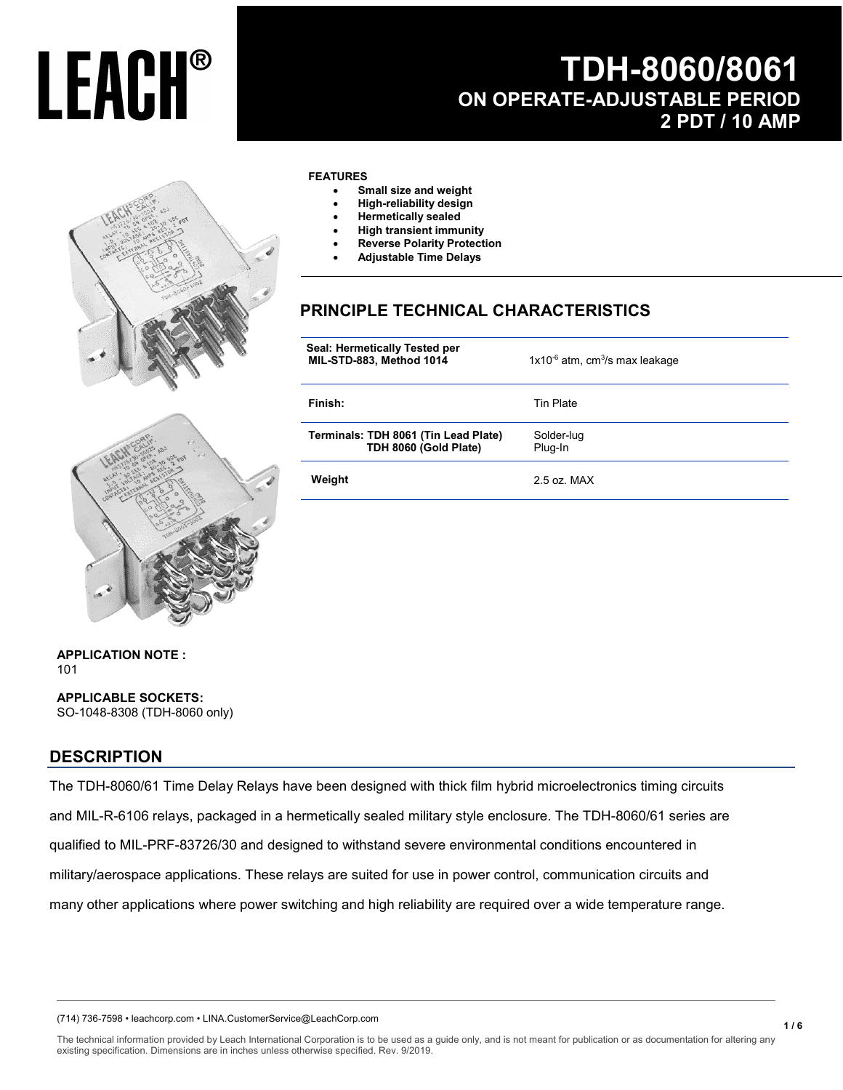## **TDH-8060/8061 ON OPERATE-ADJUSTABLE PERIOD 2 PDT / 10 AMP**



#### **FEATURES**

- **Small size and weight**
- **High-reliability design**
- **Hermetically sealed**
- **High transient immunity**
- **Reverse Polarity Protection**
- **Adjustable Time Delays**

### **PRINCIPLE TECHNICAL CHARACTERISTICS**

| Seal: Hermetically Tested per<br>MIL-STD-883, Method 1014     | $1x10^{-6}$ atm, cm <sup>3</sup> /s max leakage |
|---------------------------------------------------------------|-------------------------------------------------|
| Finish:                                                       | <b>Tin Plate</b>                                |
| Terminals: TDH 8061 (Tin Lead Plate)<br>TDH 8060 (Gold Plate) | Solder-lug<br>Plug-In                           |
| Weight                                                        | $2.5$ oz MAX                                    |



**APPLICATION NOTE :**  101

**APPLICABLE SOCKETS:** SO-1048-8308 (TDH-8060 only)

#### **DESCRIPTION**

The TDH-8060/61 Time Delay Relays have been designed with thick film hybrid microelectronics timing circuits and MIL-R-6106 relays, packaged in a hermetically sealed military style enclosure. The TDH-8060/61 series are qualified to MIL-PRF-83726/30 and designed to withstand severe environmental conditions encountered in military/aerospace applications. These relays are suited for use in power control, communication circuits and many other applications where power switching and high reliability are required over a wide temperature range.

(714) 736-7598 • leachcorp.com • LINA.CustomerService@LeachCorp.com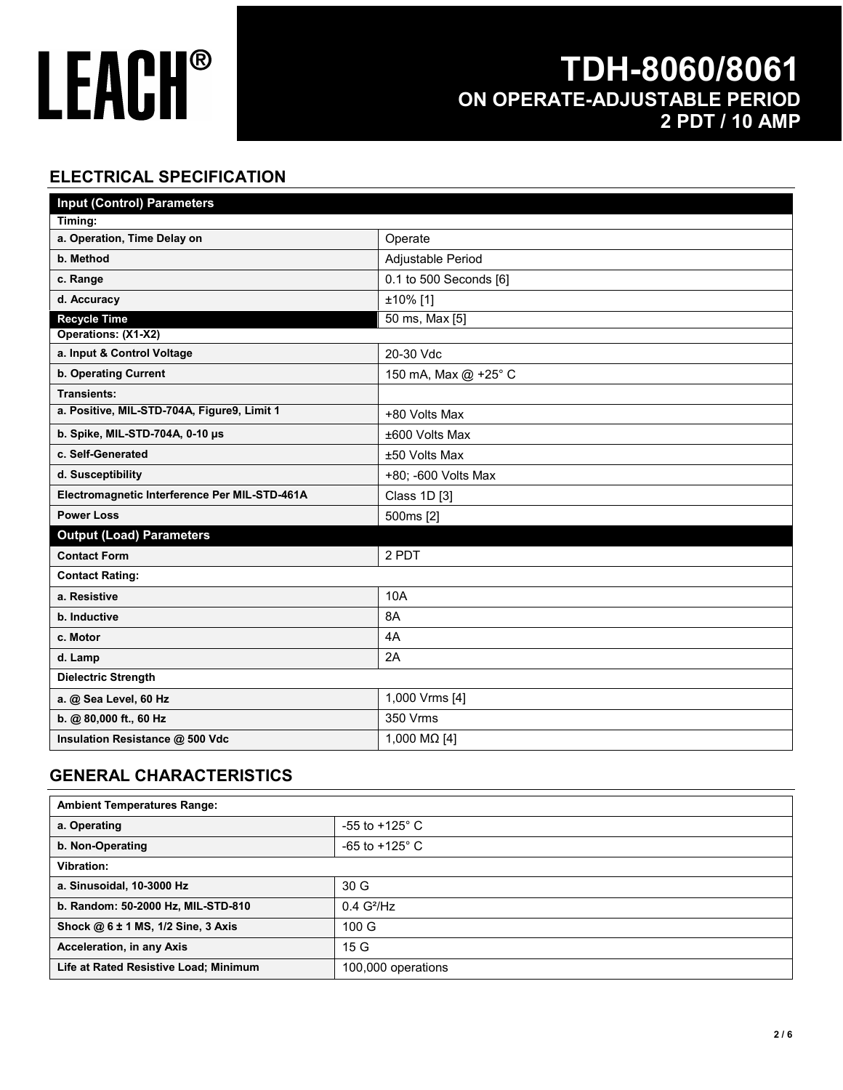## **TDH-8060/8061 ON OPERATE-ADJUSTABLE PERIOD 2 PDT / 10 AMP**

### **ELECTRICAL SPECIFICATION**

| <b>Input (Control) Parameters</b>             |                        |  |
|-----------------------------------------------|------------------------|--|
| Timing:                                       |                        |  |
| a. Operation, Time Delay on                   | Operate                |  |
| b. Method                                     | Adjustable Period      |  |
| c. Range                                      | 0.1 to 500 Seconds [6] |  |
| d. Accuracy                                   | ±10% [1]               |  |
| <b>Recycle Time</b>                           | 50 ms, Max [5]         |  |
| Operations: (X1-X2)                           |                        |  |
| a. Input & Control Voltage                    | 20-30 Vdc              |  |
| b. Operating Current                          | 150 mA, Max @ +25° C   |  |
| <b>Transients:</b>                            |                        |  |
| a. Positive, MIL-STD-704A, Figure9, Limit 1   | +80 Volts Max          |  |
| b. Spike, MIL-STD-704A, 0-10 µs               | ±600 Volts Max         |  |
| c. Self-Generated                             | ±50 Volts Max          |  |
| d. Susceptibility                             | +80; -600 Volts Max    |  |
| Electromagnetic Interference Per MIL-STD-461A | Class 1D [3]           |  |
| <b>Power Loss</b>                             | 500ms [2]              |  |
| <b>Output (Load) Parameters</b>               |                        |  |
| <b>Contact Form</b>                           | 2 PDT                  |  |
| <b>Contact Rating:</b>                        |                        |  |
| a. Resistive                                  | 10A                    |  |
| b. Inductive                                  | 8A                     |  |
| c. Motor                                      | 4A                     |  |
| d. Lamp                                       | 2A                     |  |
| <b>Dielectric Strength</b>                    |                        |  |
| a. @ Sea Level, 60 Hz                         | 1,000 Vrms [4]         |  |
| b. @ 80,000 ft., 60 Hz                        | 350 Vrms               |  |
| Insulation Resistance @ 500 Vdc               | 1,000 MΩ [4]           |  |

#### **GENERAL CHARACTERISTICS**

| <b>Ambient Temperatures Range:</b>    |                           |
|---------------------------------------|---------------------------|
| a. Operating                          | -55 to +125 $^{\circ}$ C  |
| b. Non-Operating                      | $-65$ to $+125^{\circ}$ C |
| Vibration:                            |                           |
| a. Sinusoidal, 10-3000 Hz             | 30 <sub>G</sub>           |
| b. Random: 50-2000 Hz, MIL-STD-810    | $0.4$ G <sup>2</sup> /Hz  |
| Shock @ 6 ± 1 MS, 1/2 Sine, 3 Axis    | 100 G                     |
| Acceleration, in any Axis             | 15 G                      |
| Life at Rated Resistive Load; Minimum | 100,000 operations        |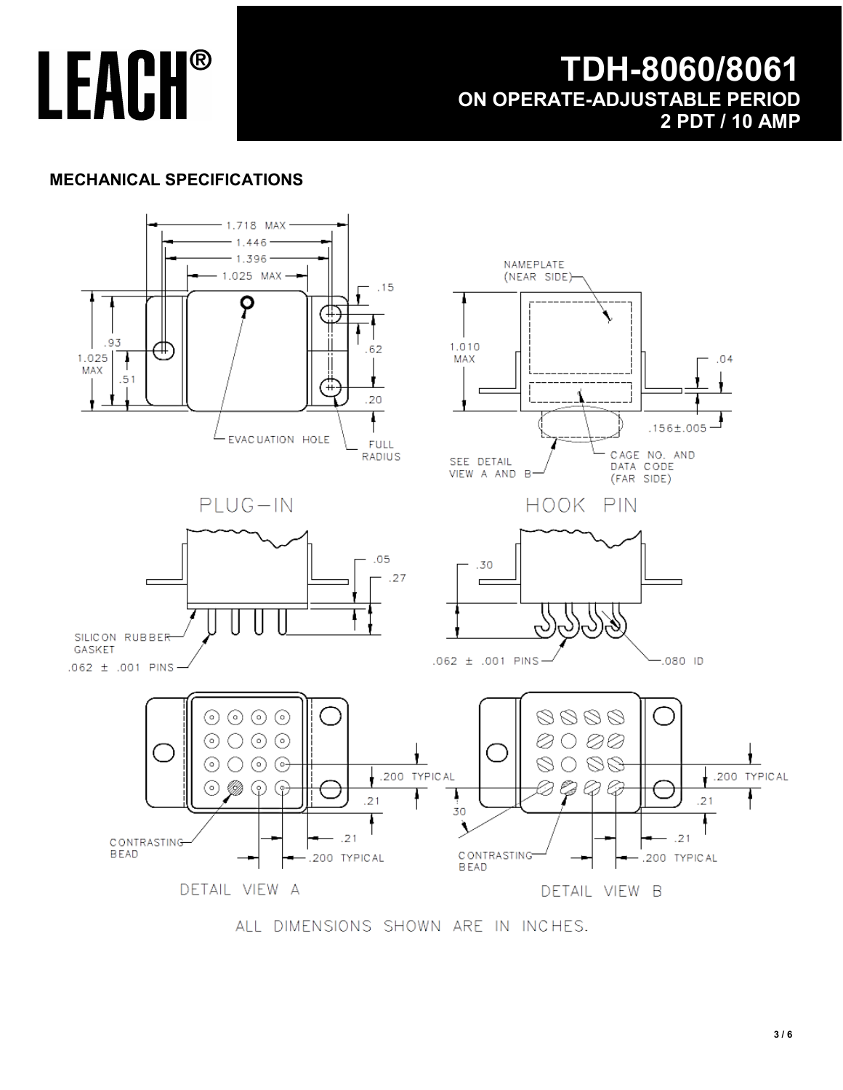### **TDH-8060/8061 ON OPERATE-ADJUSTABLE PERIOD 2 PDT / 10 AMP**

### **MECHANICAL SPECIFICATIONS**



ALL DIMENSIONS SHOWN ARE IN INCHES.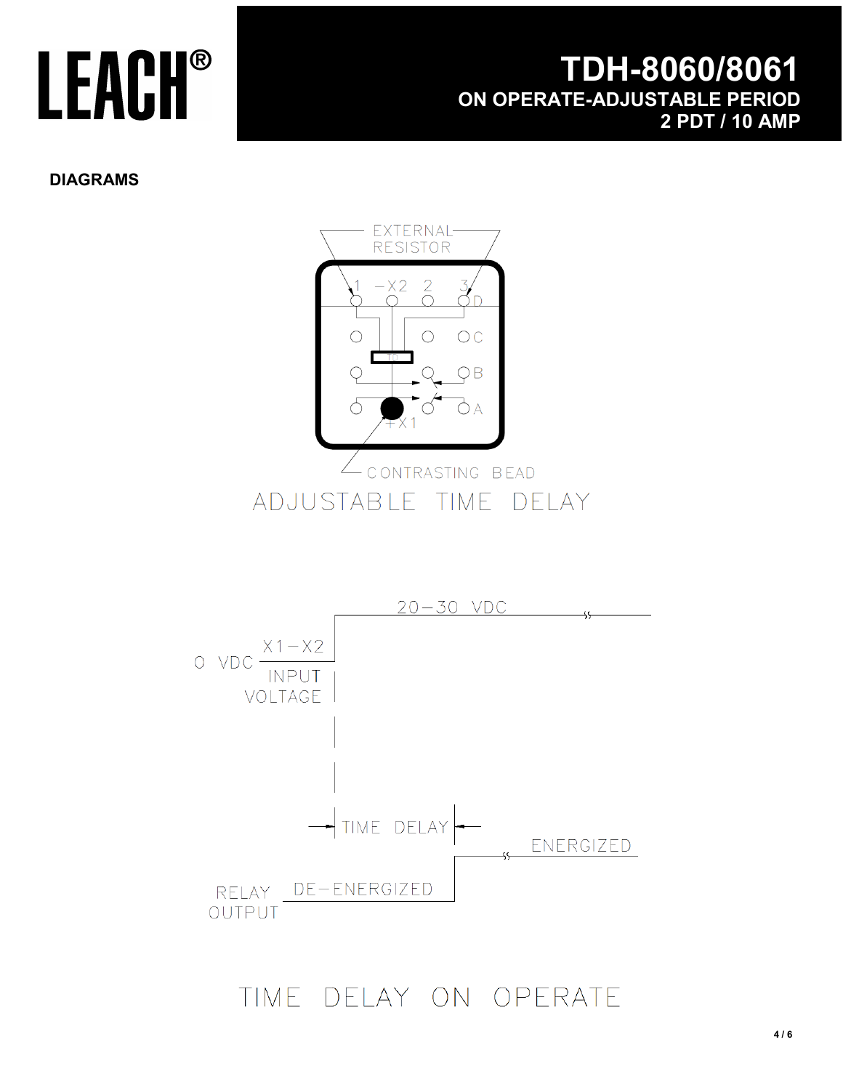## **TDH-8060/8061 ON OPERATE-ADJUSTABLE PERIOD 2 PDT / 10 AMP**

**DIAGRAMS**



TIME DELAY ON OPERATE

OUTPUT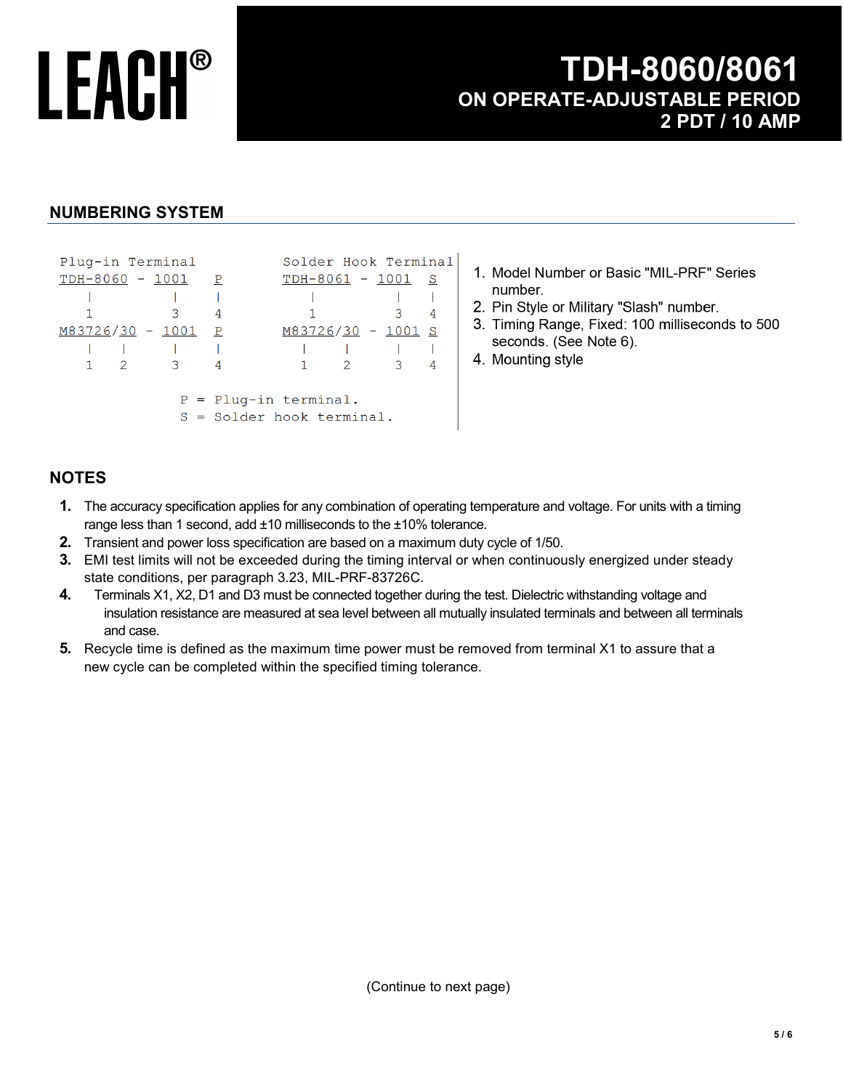### **TDH-8060/8061 ON OPERATE-ADJUSTABLE PERIOD 2 PDT / 10 AMP**

#### **NUMBERING SYSTEM**

| Plug-in Terminal |             |                            |                         | Solder Hook Terminal        |               |                |
|------------------|-------------|----------------------------|-------------------------|-----------------------------|---------------|----------------|
|                  |             | $TDH-8060 - 1001 P$        |                         | $TDH-8061 - 1001 S$         |               |                |
|                  |             |                            |                         |                             |               |                |
|                  |             |                            | 4                       |                             | $\mathbf{3}$  | -4             |
|                  |             | M83726/30 - 1001 P         |                         | M83726/30 - 1001 S          |               |                |
|                  |             |                            |                         |                             |               |                |
|                  | $1 \quad 2$ | $\overline{\phantom{a}}$ 3 |                         | $\overline{2}$              | $\mathcal{S}$ | $\overline{4}$ |
|                  |             |                            |                         |                             |               |                |
|                  |             |                            | $P =$ Plug-in terminal. |                             |               |                |
|                  |             |                            |                         | $S =$ Solder hook terminal. |               |                |

- 1. Model Number or Basic "MIL-PRF" Series number.
- 2. Pin Style or Military "Slash" number.
- 3. Timing Range, Fixed: 100 milliseconds to 500 seconds. (See Note 6).
- 4. Mounting style

#### **NOTES**

- **1.** The accuracy specification applies for any combination of operating temperature and voltage. For units with a timing range less than 1 second, add ±10 milliseconds to the ±10% tolerance.
- **2.** Transient and power loss specification are based on a maximum duty cycle of 1/50.
- **3.** EMI test limits will not be exceeded during the timing interval or when continuously energized under steady state conditions, per paragraph 3.23, MIL-PRF-83726C.
- **4.** Terminals X1, X2, D1 and D3 must be connected together during the test. Dielectric withstanding voltage and insulation resistance are measured at sea level between all mutually insulated terminals and between all terminals and case.
- **5.** Recycle time is defined as the maximum time power must be removed from terminal X1 to assure that a new cycle can be completed within the specified timing tolerance.